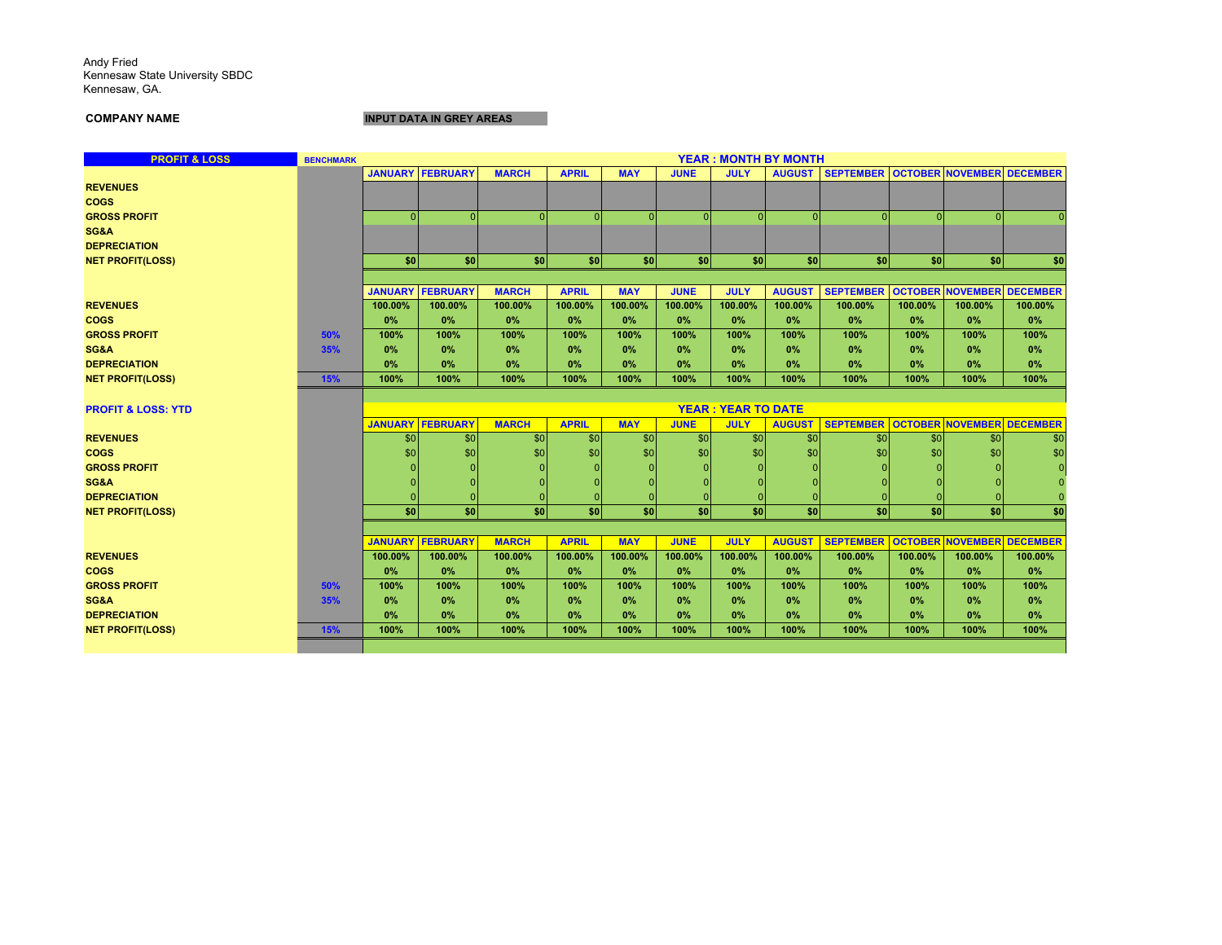Andy Fried Kennesaw State University SBDC Kennesaw, GA.

**COMPANY NAME**

**INPUT DATA IN GREY AREAS**

| <b>PROFIT &amp; LOSS</b>      | <b>BENCHMARK</b> |                |                         |              |              |            |             |                           | <b>YEAR: MONTH BY MONTH</b> |                                     |         |                                  |         |
|-------------------------------|------------------|----------------|-------------------------|--------------|--------------|------------|-------------|---------------------------|-----------------------------|-------------------------------------|---------|----------------------------------|---------|
|                               |                  |                | <b>JANUARY FEBRUARY</b> | <b>MARCH</b> | <b>APRIL</b> | <b>MAY</b> | <b>JUNE</b> | <b>JULY</b>               | <b>AUGUST</b>               | SEPTEMBER OCTOBER NOVEMBER DECEMBER |         |                                  |         |
| <b>REVENUES</b>               |                  |                |                         |              |              |            |             |                           |                             |                                     |         |                                  |         |
| <b>COGS</b>                   |                  |                |                         |              |              |            |             |                           |                             |                                     |         |                                  |         |
| <b>GROSS PROFIT</b>           |                  |                | $\Omega$                | $\Omega$     | $\Omega$     | $\Omega$   | $\Omega$    | $\Omega$                  | $\Omega$                    |                                     |         | $\Omega$                         |         |
| SG&A                          |                  |                |                         |              |              |            |             |                           |                             |                                     |         |                                  |         |
| <b>DEPRECIATION</b>           |                  |                |                         |              |              |            |             |                           |                             |                                     |         |                                  |         |
| <b>NET PROFIT(LOSS)</b>       |                  | \$0            | \$0                     | <b>sol</b>   | \$0          | \$0        | \$0         | \$0                       | \$0                         | \$0                                 | \$0     | \$0                              | \$0     |
|                               |                  |                |                         |              |              |            |             |                           |                             |                                     |         |                                  |         |
|                               |                  | <b>JANUARY</b> | <b>FEBRUARY</b>         | <b>MARCH</b> | <b>APRIL</b> | <b>MAY</b> | <b>JUNE</b> | <b>JULY</b>               | <b>AUGUST</b>               | <b>SEPTEMBER</b>                    |         | <b>OCTOBER NOVEMBER DECEMBER</b> |         |
| <b>REVENUES</b>               |                  | 100.00%        | 100.00%                 | 100.00%      | 100.00%      | 100.00%    | 100.00%     | 100.00%                   | 100.00%                     | 100.00%                             | 100.00% | 100.00%                          | 100.00% |
| <b>COGS</b>                   |                  | 0%             | 0%                      | 0%           | 0%           | 0%         | 0%          | 0%                        | 0%                          | 0%                                  | 0%      | 0%                               | 0%      |
| <b>GROSS PROFIT</b>           | 50%              | 100%           | 100%                    | 100%         | 100%         | 100%       | 100%        | 100%                      | 100%                        | 100%                                | 100%    | 100%                             | 100%    |
| SG&A                          | 35%              | 0%             | 0%                      | 0%           | 0%           | 0%         | 0%          | 0%                        | 0%                          | 0%                                  | 0%      | 0%                               | 0%      |
| <b>DEPRECIATION</b>           |                  | 0%             | 0%                      | 0%           | 0%           | 0%         | 0%          | 0%                        | 0%                          | 0%                                  | 0%      | 0%                               | 0%      |
| <b>NET PROFIT(LOSS)</b>       | 15%              | 100%           | 100%                    | 100%         | 100%         | 100%       | 100%        | 100%                      | 100%                        | 100%                                | 100%    | 100%                             | 100%    |
|                               |                  |                |                         |              |              |            |             |                           |                             |                                     |         |                                  |         |
| <b>PROFIT &amp; LOSS: YTD</b> |                  |                |                         |              |              |            |             | <b>YEAR: YEAR TO DATE</b> |                             |                                     |         |                                  |         |
|                               |                  |                | <b>JANUARY FEBRUARY</b> | <b>MARCH</b> | <b>APRIL</b> | <b>MAY</b> | <b>JUNE</b> | <b>JULY</b>               | <b>AUGUST</b>               | <b>SEPTEMBER</b>                    |         | <b>OCTOBER NOVEMBER DECEMBER</b> |         |
| <b>REVENUES</b>               |                  | \$0            | \$0                     | \$0          | \$0          | \$0        | \$0         | \$0                       | \$0                         | \$0                                 | \$0     | \$0                              | \$0     |
| <b>COGS</b>                   |                  | \$0            | \$0                     | \$0          | \$0          | \$0        | \$0         | \$0                       | \$0                         | \$0                                 | \$0     | \$0                              | \$0     |
| <b>GROSS PROFIT</b>           |                  |                |                         |              |              |            |             |                           |                             |                                     |         |                                  |         |
| SG&A                          |                  |                |                         |              |              |            |             |                           |                             |                                     |         |                                  |         |
| <b>DEPRECIATION</b>           |                  |                |                         |              |              |            |             |                           |                             |                                     |         |                                  |         |
| <b>NET PROFIT(LOSS)</b>       |                  | \$0            | \$0                     | \$0          | \$0          | \$0        | \$0         | \$0                       | \$0                         | \$0                                 | \$0     | \$0                              | \$0     |
|                               |                  |                |                         |              |              |            |             |                           |                             |                                     |         |                                  |         |
|                               |                  |                | <b>JANUARY FEBRUARY</b> | <b>MARCH</b> | <b>APRIL</b> | <b>MAY</b> | <b>JUNE</b> | <b>JULY</b>               | <b>AUGUST</b>               | <b>SEPTEMBER</b>                    |         | <b>OCTOBER NOVEMBER DECEMBER</b> |         |
| <b>REVENUES</b>               |                  | 100.00%        | 100.00%                 | 100.00%      | 100.00%      | 100.00%    | 100.00%     | 100.00%                   | 100.00%                     | 100.00%                             | 100.00% | 100.00%                          | 100.00% |
| <b>COGS</b>                   |                  | 0%             | 0%                      | 0%           | 0%           | 0%         | 0%          | 0%                        | 0%                          | 0%                                  | 0%      | 0%                               | 0%      |
| <b>GROSS PROFIT</b>           | 50%              | 100%           | 100%                    | 100%         | 100%         | 100%       | 100%        | 100%                      | 100%                        | 100%                                | 100%    | 100%                             | 100%    |
| SG&A                          | 35%              | 0%             | 0%                      | 0%           | 0%           | 0%         | 0%          | 0%                        | 0%                          | 0%                                  | 0%      | 0%                               | 0%      |
| <b>DEPRECIATION</b>           |                  | 0%             | 0%                      | 0%           | 0%           | 0%         | 0%          | 0%                        | 0%                          | 0%                                  | 0%      | 0%                               | 0%      |
| <b>NET PROFIT(LOSS)</b>       | 15%              | 100%           | 100%                    | 100%         | 100%         | 100%       | 100%        | 100%                      | 100%                        | 100%                                | 100%    | 100%                             | 100%    |
|                               |                  |                |                         |              |              |            |             |                           |                             |                                     |         |                                  |         |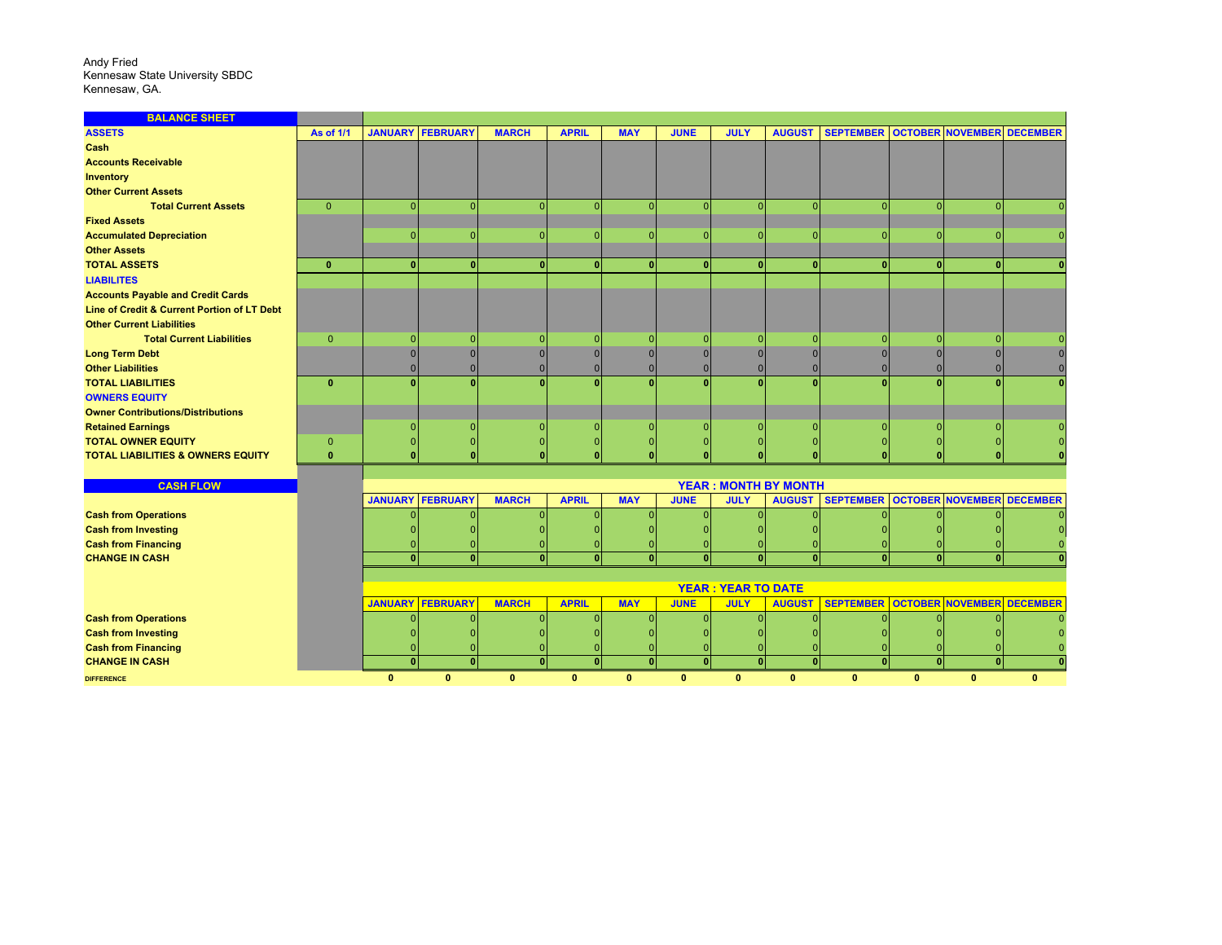## Andy Fried Kennesaw State University SBDC Kennesaw, GA.

| <b>BALANCE SHEET</b>                         |                  |                                                                                                                                                                                        |                         |              |              |              |              |              |                             |                                     |              |                                  |              |
|----------------------------------------------|------------------|----------------------------------------------------------------------------------------------------------------------------------------------------------------------------------------|-------------------------|--------------|--------------|--------------|--------------|--------------|-----------------------------|-------------------------------------|--------------|----------------------------------|--------------|
| <b>ASSETS</b>                                | <b>As of 1/1</b> |                                                                                                                                                                                        | <b>JANUARY FEBRUARY</b> | <b>MARCH</b> | <b>APRIL</b> | <b>MAY</b>   | <b>JUNE</b>  | <b>JULY</b>  | <b>AUGUST</b>               | SEPTEMBER OCTOBER NOVEMBER DECEMBER |              |                                  |              |
| <b>Cash</b>                                  |                  |                                                                                                                                                                                        |                         |              |              |              |              |              |                             |                                     |              |                                  |              |
| <b>Accounts Receivable</b>                   |                  |                                                                                                                                                                                        |                         |              |              |              |              |              |                             |                                     |              |                                  |              |
| <b>Inventory</b>                             |                  |                                                                                                                                                                                        |                         |              |              |              |              |              |                             |                                     |              |                                  |              |
| <b>Other Current Assets</b>                  |                  |                                                                                                                                                                                        |                         |              |              |              |              |              |                             |                                     |              |                                  |              |
| <b>Total Current Assets</b>                  | $\overline{0}$   | n                                                                                                                                                                                      | $\Omega$                |              | n            | n            |              |              | $\Omega$                    |                                     |              | O                                |              |
| <b>Fixed Assets</b>                          |                  |                                                                                                                                                                                        |                         |              |              |              |              |              |                             |                                     |              |                                  |              |
| <b>Accumulated Depreciation</b>              |                  |                                                                                                                                                                                        | $\Omega$                |              |              | $\Omega$     |              |              | $\Omega$                    | n                                   |              | ი                                |              |
| <b>Other Assets</b>                          |                  |                                                                                                                                                                                        |                         |              |              |              |              |              |                             |                                     |              |                                  |              |
| <b>TOTAL ASSETS</b>                          | $\mathbf{0}$     | n                                                                                                                                                                                      | $\Omega$                | $\mathbf{0}$ | $\Omega$     | $\mathbf{0}$ | $\mathbf{0}$ | n            | n                           |                                     |              | $\mathbf{0}$                     |              |
| <b>LIABILITES</b>                            |                  |                                                                                                                                                                                        |                         |              |              |              |              |              |                             |                                     |              |                                  |              |
| <b>Accounts Payable and Credit Cards</b>     |                  |                                                                                                                                                                                        |                         |              |              |              |              |              |                             |                                     |              |                                  |              |
| Line of Credit & Current Portion of LT Debt  |                  |                                                                                                                                                                                        |                         |              |              |              |              |              |                             |                                     |              |                                  |              |
| <b>Other Current Liabilities</b>             |                  |                                                                                                                                                                                        |                         |              |              |              |              |              |                             |                                     |              |                                  |              |
| <b>Total Current Liabilities</b>             | $\mathbf{0}$     |                                                                                                                                                                                        | $\Omega$                |              | n            | $\Omega$     |              |              |                             | $\Omega$                            |              | n                                |              |
| <b>Long Term Debt</b>                        |                  | $\Omega$                                                                                                                                                                               | $\Omega$                |              | $\Omega$     | $\Omega$     |              |              |                             |                                     |              |                                  |              |
| <b>Other Liabilities</b>                     |                  |                                                                                                                                                                                        | $\Omega$                |              | O            | n            |              |              |                             |                                     |              |                                  |              |
| <b>TOTAL LIABILITIES</b>                     | $\mathbf{0}$     |                                                                                                                                                                                        |                         |              |              |              |              |              |                             |                                     |              |                                  |              |
| <b>OWNERS EQUITY</b>                         |                  |                                                                                                                                                                                        |                         |              |              |              |              |              |                             |                                     |              |                                  |              |
| <b>Owner Contributions/Distributions</b>     |                  |                                                                                                                                                                                        |                         |              |              |              |              |              |                             |                                     |              |                                  |              |
| <b>Retained Earnings</b>                     |                  |                                                                                                                                                                                        |                         |              |              |              |              |              |                             |                                     |              |                                  |              |
| <b>TOTAL OWNER EQUITY</b>                    | $\mathbf{0}$     |                                                                                                                                                                                        |                         |              |              |              |              |              |                             |                                     |              |                                  |              |
| <b>TOTAL LIABILITIES &amp; OWNERS EQUITY</b> | $\mathbf{0}$     |                                                                                                                                                                                        |                         |              |              |              |              |              |                             |                                     |              |                                  |              |
|                                              |                  |                                                                                                                                                                                        |                         |              |              |              |              |              |                             |                                     |              |                                  |              |
| <b>CASH FLOW</b>                             |                  |                                                                                                                                                                                        |                         |              |              |              |              |              | <b>YEAR: MONTH BY MONTH</b> |                                     |              |                                  |              |
|                                              |                  | <b>JANUARY</b>                                                                                                                                                                         | <b>FEBRUARY</b>         | <b>MARCH</b> | <b>APRIL</b> | <b>MAY</b>   | <b>JUNE</b>  | <b>JULY</b>  | <b>AUGUST</b>               | <b>SEPTEMBER</b>                    |              | <b>OCTOBER NOVEMBER DECEMBER</b> |              |
| <b>Cash from Operations</b>                  |                  |                                                                                                                                                                                        | $\Omega$                |              | n            |              |              |              |                             |                                     |              |                                  |              |
| <b>Cash from Investing</b>                   |                  |                                                                                                                                                                                        |                         |              |              |              |              |              |                             |                                     |              |                                  |              |
| <b>Cash from Financing</b>                   |                  |                                                                                                                                                                                        |                         |              |              |              |              |              |                             |                                     |              |                                  |              |
| <b>CHANGE IN CASH</b>                        |                  | $\Omega$                                                                                                                                                                               | $\mathbf{0}$            | $\Omega$     | $\Omega$     | $\mathbf{0}$ | $\mathbf{0}$ | Ò            | $\Omega$                    |                                     |              | $\mathbf{0}$                     |              |
|                                              |                  | <b>YEAR: YEAR TO DATE</b>                                                                                                                                                              |                         |              |              |              |              |              |                             |                                     |              |                                  |              |
|                                              |                  | <b>JANUARY</b><br><b>FEBRUARY</b><br><b>MARCH</b><br><b>APRIL</b><br><b>MAY</b><br><b>SEPTEMBER</b><br><b>OCTOBER NOVEMBER DECEMBER</b><br><b>JUNE</b><br><b>JULY</b><br><b>AUGUST</b> |                         |              |              |              |              |              |                             |                                     |              |                                  |              |
| <b>Cash from Operations</b>                  |                  |                                                                                                                                                                                        |                         |              |              |              |              |              |                             |                                     |              |                                  |              |
| <b>Cash from Investing</b>                   |                  |                                                                                                                                                                                        |                         |              |              |              |              |              |                             |                                     |              |                                  |              |
| <b>Cash from Financing</b>                   |                  |                                                                                                                                                                                        |                         |              |              |              |              |              |                             |                                     |              |                                  |              |
| <b>CHANGE IN CASH</b>                        |                  | $\Omega$                                                                                                                                                                               | $\Omega$                | $\Omega$     | $\Omega$     | $\mathbf{0}$ | л            | n            | $\Omega$                    |                                     |              | n                                |              |
| <b>DIFFERENCE</b>                            |                  | $\mathbf{0}$                                                                                                                                                                           | $\mathbf{0}$            | $\mathbf{0}$ | $\mathbf{0}$ | $\mathbf{0}$ | $\mathbf{0}$ | $\mathbf{0}$ | $\mathbf{0}$                | $\mathbf{0}$                        | $\mathbf{0}$ | $\bf{0}$                         | $\mathbf{0}$ |
|                                              |                  |                                                                                                                                                                                        |                         |              |              |              |              |              |                             |                                     |              |                                  |              |